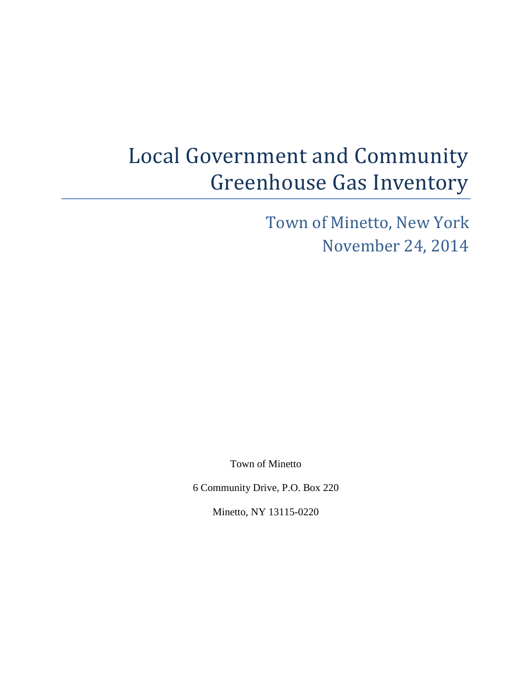# Local Government and Community Greenhouse Gas Inventory

Town of Minetto, New York November 24, 2014

Town of Minetto

6 Community Drive, P.O. Box 220

Minetto, NY 13115-0220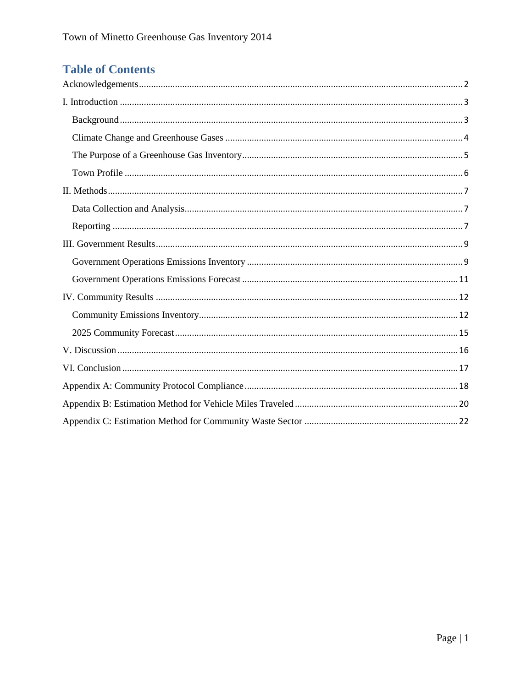## **Table of Contents**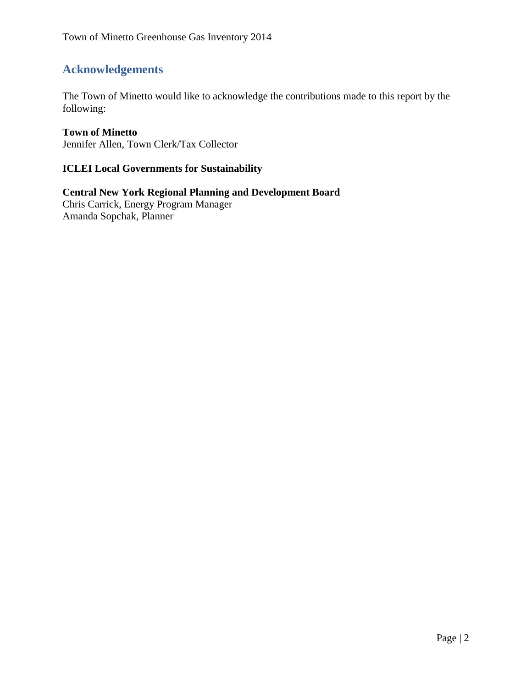## <span id="page-2-0"></span>**Acknowledgements**

The Town of Minetto would like to acknowledge the contributions made to this report by the following:

#### **Town of Minetto**

Jennifer Allen, Town Clerk/Tax Collector

#### **ICLEI Local Governments for Sustainability**

**Central New York Regional Planning and Development Board** Chris Carrick, Energy Program Manager Amanda Sopchak, Planner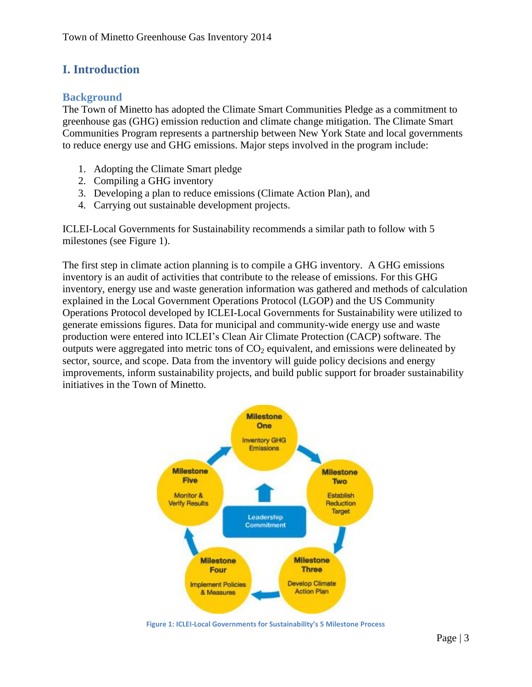## <span id="page-3-0"></span>**I. Introduction**

#### <span id="page-3-1"></span>**Background**

The Town of Minetto has adopted the Climate Smart Communities Pledge as a commitment to greenhouse gas (GHG) emission reduction and climate change mitigation. The Climate Smart Communities Program represents a partnership between New York State and local governments to reduce energy use and GHG emissions. Major steps involved in the program include:

- 1. Adopting the Climate Smart pledge
- 2. Compiling a GHG inventory
- 3. Developing a plan to reduce emissions (Climate Action Plan), and
- 4. Carrying out sustainable development projects.

ICLEI-Local Governments for Sustainability recommends a similar path to follow with 5 milestones (see Figure 1).

The first step in climate action planning is to compile a GHG inventory. A GHG emissions inventory is an audit of activities that contribute to the release of emissions. For this GHG inventory, energy use and waste generation information was gathered and methods of calculation explained in the Local Government Operations Protocol (LGOP) and the US Community Operations Protocol developed by ICLEI-Local Governments for Sustainability were utilized to generate emissions figures. Data for municipal and community-wide energy use and waste production were entered into ICLEI's Clean Air Climate Protection (CACP) software. The outputs were aggregated into metric tons of  $CO<sub>2</sub>$  equivalent, and emissions were delineated by sector, source, and scope. Data from the inventory will guide policy decisions and energy improvements, inform sustainability projects, and build public support for broader sustainability initiatives in the Town of Minetto.



**Figure 1: ICLEI-Local Governments for Sustainability's 5 Milestone Process**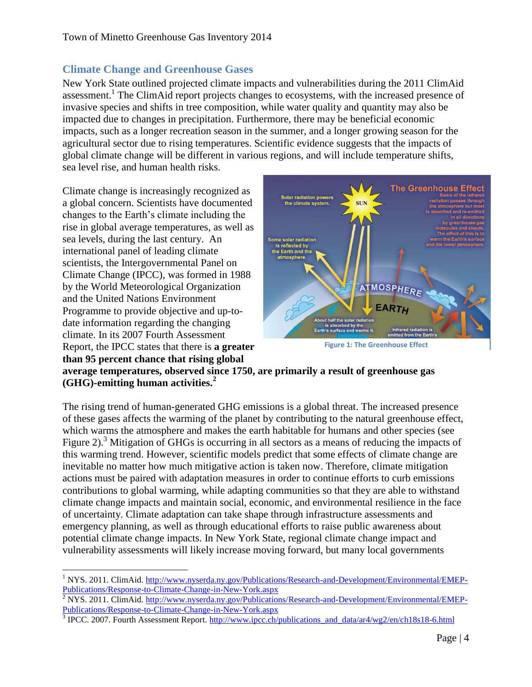#### <span id="page-4-0"></span>**Climate Change and Greenhouse Gases**

New York State outlined projected climate impacts and vulnerabilities during the 2011 ClimAid assessment.<sup>1</sup> The ClimAid report projects changes to ecosystems, with the increased presence of invasive species and shifts in tree composition, while water quality and quantity may also be impacted due to changes in precipitation. Furthermore, there may be beneficial economic impacts, such as a longer recreation season in the summer, and a longer growing season for the agricultural sector due to rising temperatures. Scientific evidence suggests that the impacts of global climate change will be different in various regions, and will include temperature shifts, sea level rise, and human health risks.

Climate change is increasingly recognized as a global concern. Scientists have documented changes to the Earth's climate including the rise in global average temperatures, as well as sea levels, during the last century. An international panel of leading climate scientists, the Intergovernmental Panel on Climate Change (IPCC), was formed in 1988 by the World Meteorological Organization and the United Nations Environment Programme to provide objective and up-todate information regarding the changing climate. In its 2007 Fourth Assessment Report, the IPCC states that there is **a greater than 95 percent chance that rising global** 



**Figure 1: The Greenhouse Effect**

**average temperatures, observed since 1750, are primarily a result of greenhouse gas (GHG)-emitting human activities.<sup>2</sup>**

The rising trend of human-generated GHG emissions is a global threat. The increased presence of these gases affects the warming of the planet by contributing to the natural greenhouse effect, which warms the atmosphere and makes the earth habitable for humans and other species (see Figure 2).<sup>3</sup> Mitigation of GHGs is occurring in all sectors as a means of reducing the impacts of this warming trend. However, scientific models predict that some effects of climate change are inevitable no matter how much mitigative action is taken now. Therefore, climate mitigation actions must be paired with adaptation measures in order to continue efforts to curb emissions contributions to global warming, while adapting communities so that they are able to withstand climate change impacts and maintain social, economic, and environmental resilience in the face of uncertainty. Climate adaptation can take shape through infrastructure assessments and emergency planning, as well as through educational efforts to raise public awareness about potential climate change impacts. In New York State, regional climate change impact and vulnerability assessments will likely increase moving forward, but many local governments

 $\overline{a}$ <sup>1</sup> NYS. 2011. ClimAid. [http://www.nyserda.ny.gov/Publications/Research-and-Development/Environmental/EMEP-](http://www.nyserda.ny.gov/Publications/Research-and-Development/Environmental/EMEP-Publications/Response-to-Climate-Change-in-New-York.aspx)[Publications/Response-to-Climate-Change-in-New-York.aspx](http://www.nyserda.ny.gov/Publications/Research-and-Development/Environmental/EMEP-Publications/Response-to-Climate-Change-in-New-York.aspx)

 $\frac{2}{3}$  NYS. 2011. ClimAid. [http://www.nyserda.ny.gov/Publications/Research-and-Development/Environmental/EMEP-](http://www.nyserda.ny.gov/Publications/Research-and-Development/Environmental/EMEP-Publications/Response-to-Climate-Change-in-New-York.aspx)[Publications/Response-to-Climate-Change-in-New-York.aspx](http://www.nyserda.ny.gov/Publications/Research-and-Development/Environmental/EMEP-Publications/Response-to-Climate-Change-in-New-York.aspx)

<sup>&</sup>lt;sup>3</sup> IPCC. 2007. Fourth Assessment Report. [http://www.ipcc.ch/publications\\_and\\_data/ar4/wg2/en/ch18s18-6.html](http://www.ipcc.ch/publications_and_data/ar4/wg2/en/ch18s18-6.html)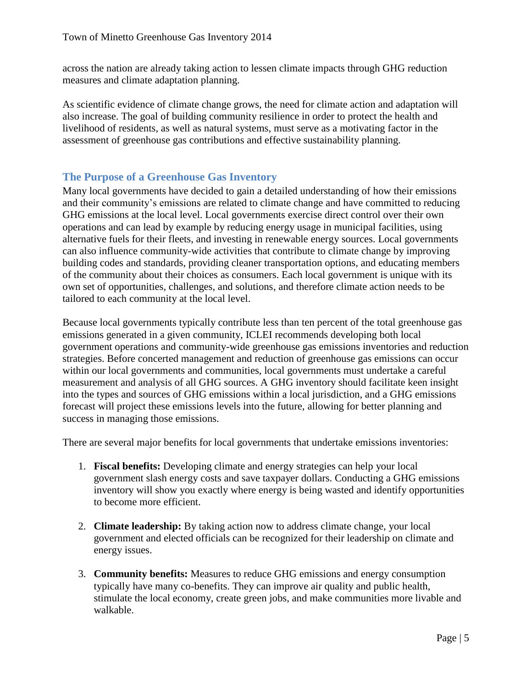across the nation are already taking action to lessen climate impacts through GHG reduction measures and climate adaptation planning.

As scientific evidence of climate change grows, the need for climate action and adaptation will also increase. The goal of building community resilience in order to protect the health and livelihood of residents, as well as natural systems, must serve as a motivating factor in the assessment of greenhouse gas contributions and effective sustainability planning.

#### <span id="page-5-0"></span>**The Purpose of a Greenhouse Gas Inventory**

Many local governments have decided to gain a detailed understanding of how their emissions and their community's emissions are related to climate change and have committed to reducing GHG emissions at the local level. Local governments exercise direct control over their own operations and can lead by example by reducing energy usage in municipal facilities, using alternative fuels for their fleets, and investing in renewable energy sources. Local governments can also influence community-wide activities that contribute to climate change by improving building codes and standards, providing cleaner transportation options, and educating members of the community about their choices as consumers. Each local government is unique with its own set of opportunities, challenges, and solutions, and therefore climate action needs to be tailored to each community at the local level.

Because local governments typically contribute less than ten percent of the total greenhouse gas emissions generated in a given community, ICLEI recommends developing both local government operations and community-wide greenhouse gas emissions inventories and reduction strategies. Before concerted management and reduction of greenhouse gas emissions can occur within our local governments and communities, local governments must undertake a careful measurement and analysis of all GHG sources. A GHG inventory should facilitate keen insight into the types and sources of GHG emissions within a local jurisdiction, and a GHG emissions forecast will project these emissions levels into the future, allowing for better planning and success in managing those emissions.

There are several major benefits for local governments that undertake emissions inventories:

- 1. **Fiscal benefits:** Developing climate and energy strategies can help your local government slash energy costs and save taxpayer dollars. Conducting a GHG emissions inventory will show you exactly where energy is being wasted and identify opportunities to become more efficient.
- 2. **Climate leadership:** By taking action now to address climate change, your local government and elected officials can be recognized for their leadership on climate and energy issues.
- 3. **Community benefits:** Measures to reduce GHG emissions and energy consumption typically have many co-benefits. They can improve air quality and public health, stimulate the local economy, create green jobs, and make communities more livable and walkable.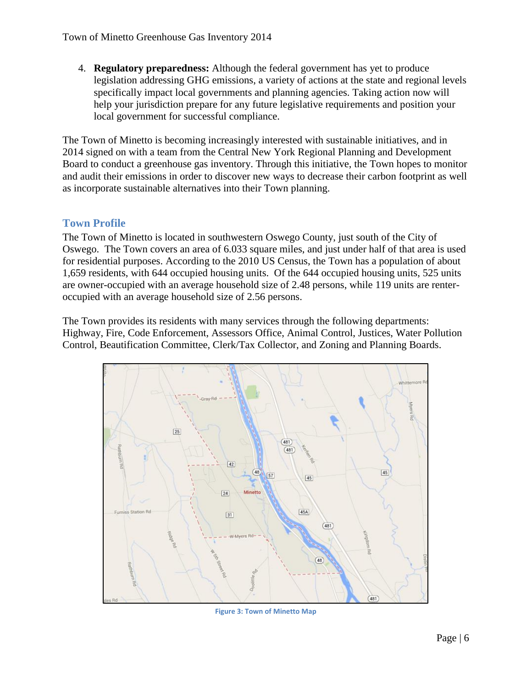4. **Regulatory preparedness:** Although the federal government has yet to produce legislation addressing GHG emissions, a variety of actions at the state and regional levels specifically impact local governments and planning agencies. Taking action now will help your jurisdiction prepare for any future legislative requirements and position your local government for successful compliance.

The Town of Minetto is becoming increasingly interested with sustainable initiatives, and in 2014 signed on with a team from the Central New York Regional Planning and Development Board to conduct a greenhouse gas inventory. Through this initiative, the Town hopes to monitor and audit their emissions in order to discover new ways to decrease their carbon footprint as well as incorporate sustainable alternatives into their Town planning.

#### <span id="page-6-0"></span>**Town Profile**

The Town of Minetto is located in southwestern Oswego County, just south of the City of Oswego. The Town covers an area of 6.033 square miles, and just under half of that area is used for residential purposes. According to the 2010 US Census, the Town has a population of about 1,659 residents, with 644 occupied housing units. Of the 644 occupied housing units, 525 units are owner-occupied with an average household size of 2.48 persons, while 119 units are renteroccupied with an average household size of 2.56 persons.

The Town provides its residents with many services through the following departments: Highway, Fire, Code Enforcement, Assessors Office, Animal Control, Justices, Water Pollution Control, Beautification Committee, Clerk/Tax Collector, and Zoning and Planning Boards.



**Figure 3: Town of Minetto Map**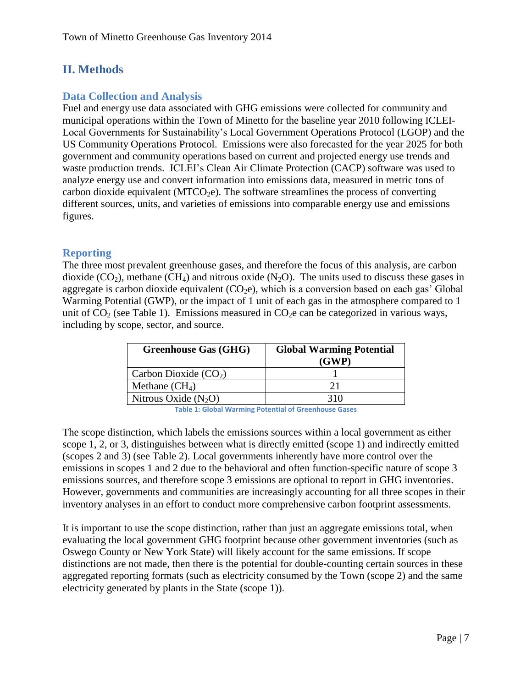## <span id="page-7-0"></span>**II. Methods**

#### <span id="page-7-1"></span>**Data Collection and Analysis**

Fuel and energy use data associated with GHG emissions were collected for community and municipal operations within the Town of Minetto for the baseline year 2010 following ICLEI-Local Governments for Sustainability's Local Government Operations Protocol (LGOP) and the US Community Operations Protocol. Emissions were also forecasted for the year 2025 for both government and community operations based on current and projected energy use trends and waste production trends. ICLEI's Clean Air Climate Protection (CACP) software was used to analyze energy use and convert information into emissions data, measured in metric tons of carbon dioxide equivalent (MTCO<sub>2</sub>e). The software streamlines the process of converting different sources, units, and varieties of emissions into comparable energy use and emissions figures.

#### <span id="page-7-2"></span>**Reporting**

The three most prevalent greenhouse gases, and therefore the focus of this analysis, are carbon dioxide  $(CO_2)$ , methane  $(CH_4)$  and nitrous oxide  $(N_2O)$ . The units used to discuss these gases in aggregate is carbon dioxide equivalent  $(CO_2e)$ , which is a conversion based on each gas' Global Warming Potential (GWP), or the impact of 1 unit of each gas in the atmosphere compared to 1 unit of  $CO<sub>2</sub>$  (see Table 1). Emissions measured in  $CO<sub>2</sub>e$  can be categorized in various ways, including by scope, sector, and source.

| <b>Greenhouse Gas (GHG)</b> | <b>Global Warming Potential</b><br>(GWP) |
|-----------------------------|------------------------------------------|
| Carbon Dioxide $(CO2)$      |                                          |
| Methane $(CH_4)$            | 71                                       |
| Nitrous Oxide $(N_2O)$      |                                          |

**Table 1: Global Warming Potential of Greenhouse Gases**

The scope distinction, which labels the emissions sources within a local government as either scope 1, 2, or 3, distinguishes between what is directly emitted (scope 1) and indirectly emitted (scopes 2 and 3) (see Table 2). Local governments inherently have more control over the emissions in scopes 1 and 2 due to the behavioral and often function-specific nature of scope 3 emissions sources, and therefore scope 3 emissions are optional to report in GHG inventories. However, governments and communities are increasingly accounting for all three scopes in their inventory analyses in an effort to conduct more comprehensive carbon footprint assessments.

It is important to use the scope distinction, rather than just an aggregate emissions total, when evaluating the local government GHG footprint because other government inventories (such as Oswego County or New York State) will likely account for the same emissions. If scope distinctions are not made, then there is the potential for double-counting certain sources in these aggregated reporting formats (such as electricity consumed by the Town (scope 2) and the same electricity generated by plants in the State (scope 1)).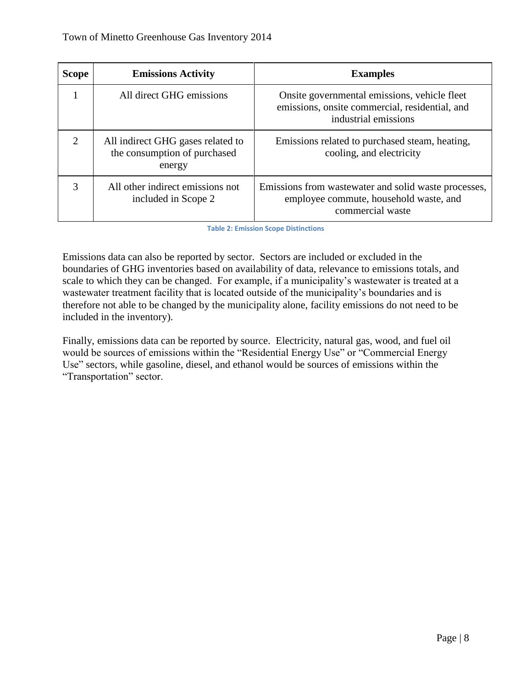| <b>Scope</b>          | <b>Emissions Activity</b>                                                   | <b>Examples</b>                                                                                                        |
|-----------------------|-----------------------------------------------------------------------------|------------------------------------------------------------------------------------------------------------------------|
|                       | All direct GHG emissions                                                    | Onsite governmental emissions, vehicle fleet<br>emissions, onsite commercial, residential, and<br>industrial emissions |
| $\mathcal{D}_{\cdot}$ | All indirect GHG gases related to<br>the consumption of purchased<br>energy | Emissions related to purchased steam, heating,<br>cooling, and electricity                                             |
| 3                     | All other indirect emissions not<br>included in Scope 2                     | Emissions from was tewater and solid was te processes,<br>employee commute, household waste, and<br>commercial waste   |

**Table 2: Emission Scope Distinctions**

Emissions data can also be reported by sector. Sectors are included or excluded in the boundaries of GHG inventories based on availability of data, relevance to emissions totals, and scale to which they can be changed. For example, if a municipality's wastewater is treated at a wastewater treatment facility that is located outside of the municipality's boundaries and is therefore not able to be changed by the municipality alone, facility emissions do not need to be included in the inventory).

Finally, emissions data can be reported by source. Electricity, natural gas, wood, and fuel oil would be sources of emissions within the "Residential Energy Use" or "Commercial Energy Use" sectors, while gasoline, diesel, and ethanol would be sources of emissions within the "Transportation" sector.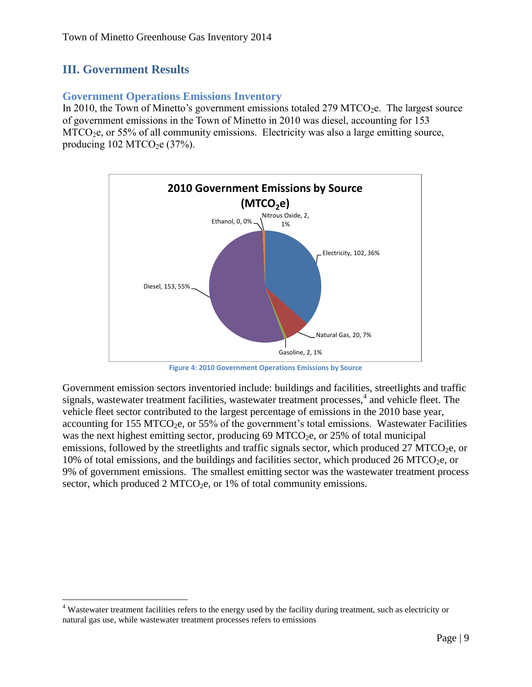## <span id="page-9-0"></span>**III. Government Results**

 $\overline{\phantom{a}}$ 

#### <span id="page-9-1"></span>**Government Operations Emissions Inventory**

In 2010, the Town of Minetto's government emissions totaled 279 MTCO<sub>2</sub>e. The largest source of government emissions in the Town of Minetto in 2010 was diesel, accounting for 153 MTCO<sub>2</sub>e, or 55% of all community emissions. Electricity was also a large emitting source, producing  $102 \text{ MTCO}_2$ e (37%).



**Figure 4: 2010 Government Operations Emissions by Source**

Government emission sectors inventoried include: buildings and facilities, streetlights and traffic signals, wastewater treatment facilities, wastewater treatment processes,<sup>4</sup> and vehicle fleet. The vehicle fleet sector contributed to the largest percentage of emissions in the 2010 base year, accounting for 155 MTCO<sub>2</sub>e, or 55% of the government's total emissions. Wastewater Facilities was the next highest emitting sector, producing 69 MTCO<sub>2</sub>e, or 25% of total municipal emissions, followed by the streetlights and traffic signals sector, which produced 27 MTCO<sub>2</sub>e, or 10% of total emissions, and the buildings and facilities sector, which produced 26 MTCO<sub>2</sub>e, or 9% of government emissions. The smallest emitting sector was the wastewater treatment process sector, which produced  $2 \text{ MTCO}_2$ e, or 1% of total community emissions.

<sup>4</sup> Wastewater treatment facilities refers to the energy used by the facility during treatment, such as electricity or natural gas use, while wastewater treatment processes refers to emissions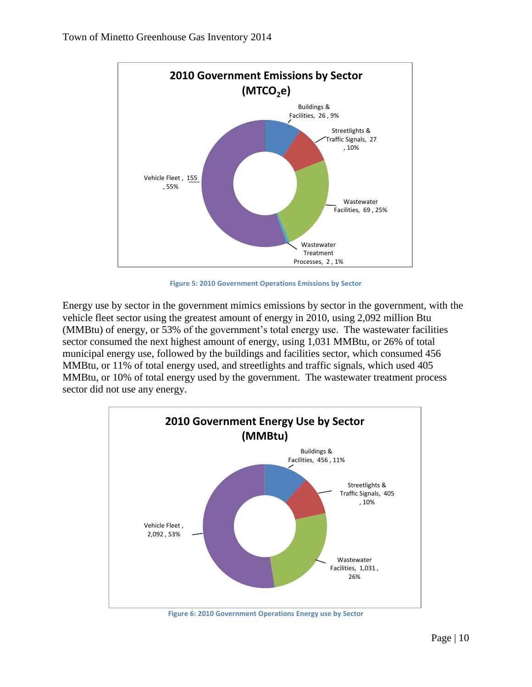

**Figure 5: 2010 Government Operations Emissions by Sector**

Energy use by sector in the government mimics emissions by sector in the government, with the vehicle fleet sector using the greatest amount of energy in 2010, using 2,092 million Btu (MMBtu) of energy, or 53% of the government's total energy use. The wastewater facilities sector consumed the next highest amount of energy, using 1,031 MMBtu, or 26% of total municipal energy use, followed by the buildings and facilities sector, which consumed 456 MMBtu, or 11% of total energy used, and streetlights and traffic signals, which used 405 MMBtu, or 10% of total energy used by the government. The wastewater treatment process sector did not use any energy.

![](_page_10_Figure_4.jpeg)

**Figure 6: 2010 Government Operations Energy use by Sector**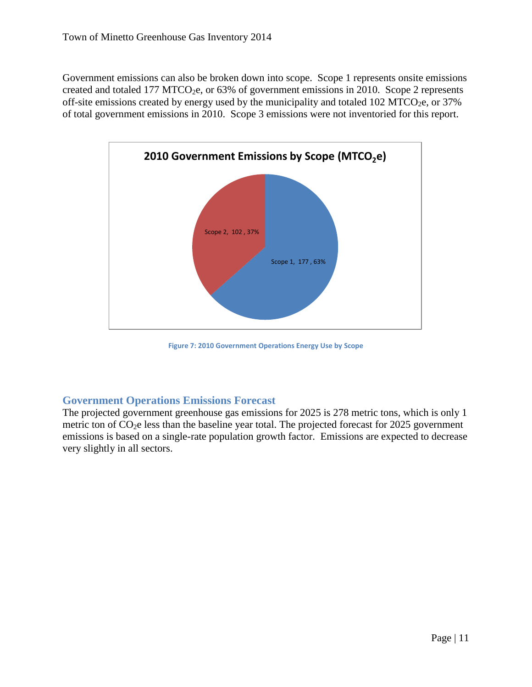Government emissions can also be broken down into scope. Scope 1 represents onsite emissions created and totaled 177 MTCO<sub>2</sub>e, or 63% of government emissions in 2010. Scope 2 represents off-site emissions created by energy used by the municipality and totaled 102 MTCO<sub>2</sub>e, or  $37\%$ of total government emissions in 2010. Scope 3 emissions were not inventoried for this report.

![](_page_11_Figure_2.jpeg)

**Figure 7: 2010 Government Operations Energy Use by Scope**

#### <span id="page-11-0"></span>**Government Operations Emissions Forecast**

The projected government greenhouse gas emissions for 2025 is 278 metric tons, which is only 1 metric ton of  $CO<sub>2</sub>e$  less than the baseline year total. The projected forecast for 2025 government emissions is based on a single-rate population growth factor. Emissions are expected to decrease very slightly in all sectors.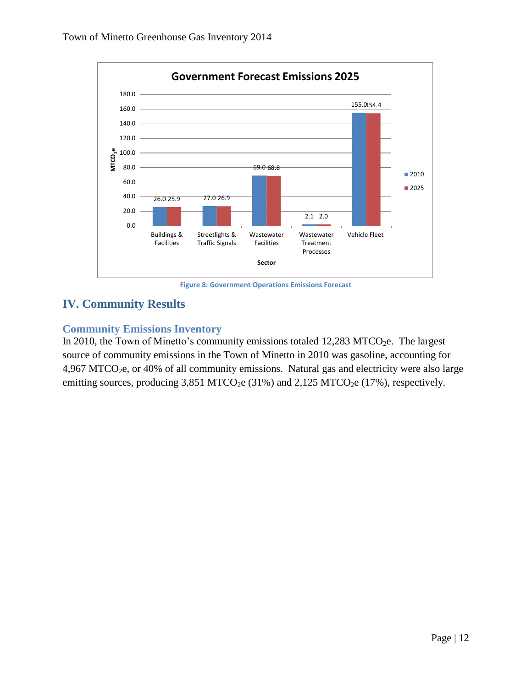![](_page_12_Figure_1.jpeg)

**Figure 8: Government Operations Emissions Forecast**

## <span id="page-12-0"></span>**IV. Community Results**

#### <span id="page-12-1"></span>**Community Emissions Inventory**

In 2010, the Town of Minetto's community emissions totaled  $12,283$  MTCO<sub>2</sub>e. The largest source of community emissions in the Town of Minetto in 2010 was gasoline, accounting for 4,967 MTCO<sub>2</sub>e, or 40% of all community emissions. Natural gas and electricity were also large emitting sources, producing  $3,851$  MTCO<sub>2</sub>e  $(31\%)$  and  $2,125$  MTCO<sub>2</sub>e  $(17\%)$ , respectively.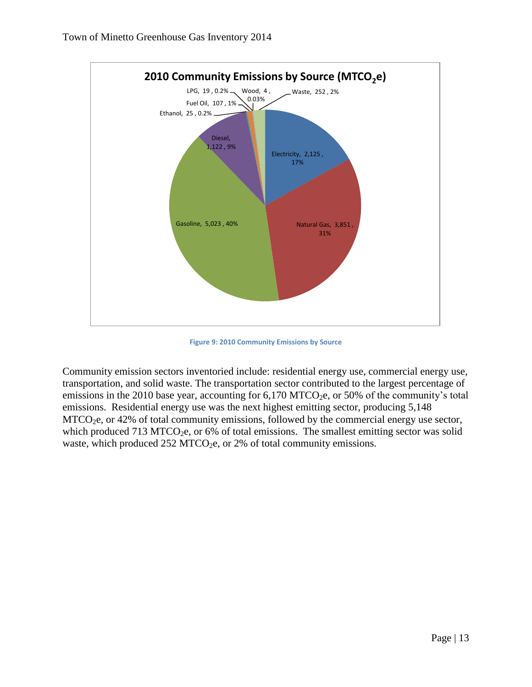![](_page_13_Figure_1.jpeg)

**Figure 9: 2010 Community Emissions by Source**

Community emission sectors inventoried include: residential energy use, commercial energy use, transportation, and solid waste. The transportation sector contributed to the largest percentage of emissions in the 2010 base year, accounting for  $6,170$  MTCO<sub>2</sub>e, or 50% of the community's total emissions. Residential energy use was the next highest emitting sector, producing 5,148 MTCO<sub>2</sub>e, or 42% of total community emissions, followed by the commercial energy use sector, which produced 713 MTCO<sub>2</sub>e, or 6% of total emissions. The smallest emitting sector was solid waste, which produced  $252 \text{ MTCO}_2$ e, or  $2\%$  of total community emissions.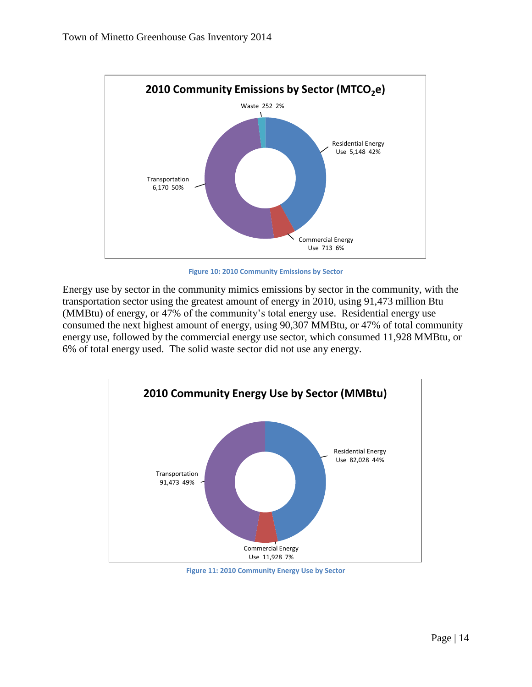![](_page_14_Figure_1.jpeg)

**Figure 10: 2010 Community Emissions by Sector**

Energy use by sector in the community mimics emissions by sector in the community, with the transportation sector using the greatest amount of energy in 2010, using 91,473 million Btu (MMBtu) of energy, or 47% of the community's total energy use. Residential energy use consumed the next highest amount of energy, using 90,307 MMBtu, or 47% of total community energy use, followed by the commercial energy use sector, which consumed 11,928 MMBtu, or 6% of total energy used. The solid waste sector did not use any energy.

![](_page_14_Figure_4.jpeg)

**Figure 11: 2010 Community Energy Use by Sector**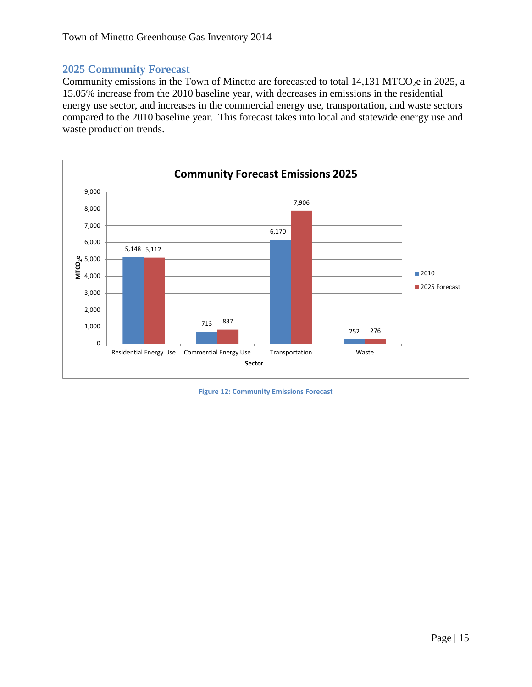#### <span id="page-15-0"></span>**2025 Community Forecast**

Community emissions in the Town of Minetto are forecasted to total 14,131 MTCO<sub>2</sub>e in 2025, a 15.05% increase from the 2010 baseline year, with decreases in emissions in the residential energy use sector, and increases in the commercial energy use, transportation, and waste sectors compared to the 2010 baseline year. This forecast takes into local and statewide energy use and waste production trends.

![](_page_15_Figure_3.jpeg)

**Figure 12: Community Emissions Forecast**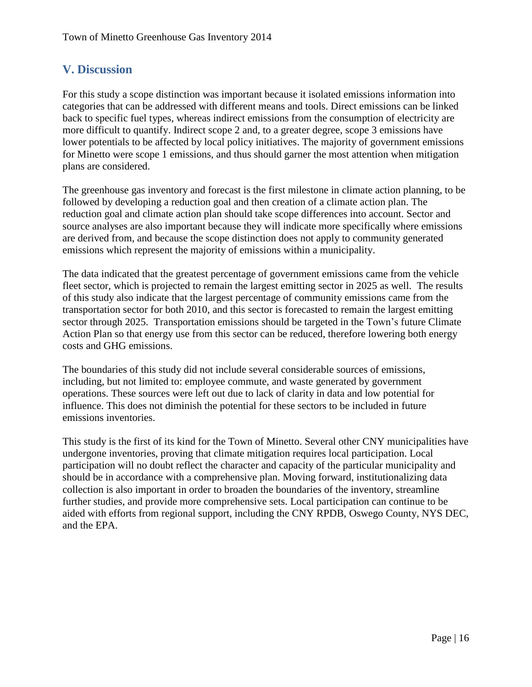### <span id="page-16-0"></span>**V. Discussion**

For this study a scope distinction was important because it isolated emissions information into categories that can be addressed with different means and tools. Direct emissions can be linked back to specific fuel types, whereas indirect emissions from the consumption of electricity are more difficult to quantify. Indirect scope 2 and, to a greater degree, scope 3 emissions have lower potentials to be affected by local policy initiatives. The majority of government emissions for Minetto were scope 1 emissions, and thus should garner the most attention when mitigation plans are considered.

The greenhouse gas inventory and forecast is the first milestone in climate action planning, to be followed by developing a reduction goal and then creation of a climate action plan. The reduction goal and climate action plan should take scope differences into account. Sector and source analyses are also important because they will indicate more specifically where emissions are derived from, and because the scope distinction does not apply to community generated emissions which represent the majority of emissions within a municipality.

The data indicated that the greatest percentage of government emissions came from the vehicle fleet sector, which is projected to remain the largest emitting sector in 2025 as well. The results of this study also indicate that the largest percentage of community emissions came from the transportation sector for both 2010, and this sector is forecasted to remain the largest emitting sector through 2025. Transportation emissions should be targeted in the Town's future Climate Action Plan so that energy use from this sector can be reduced, therefore lowering both energy costs and GHG emissions.

The boundaries of this study did not include several considerable sources of emissions, including, but not limited to: employee commute, and waste generated by government operations. These sources were left out due to lack of clarity in data and low potential for influence. This does not diminish the potential for these sectors to be included in future emissions inventories.

This study is the first of its kind for the Town of Minetto. Several other CNY municipalities have undergone inventories, proving that climate mitigation requires local participation. Local participation will no doubt reflect the character and capacity of the particular municipality and should be in accordance with a comprehensive plan. Moving forward, institutionalizing data collection is also important in order to broaden the boundaries of the inventory, streamline further studies, and provide more comprehensive sets. Local participation can continue to be aided with efforts from regional support, including the CNY RPDB, Oswego County, NYS DEC, and the EPA.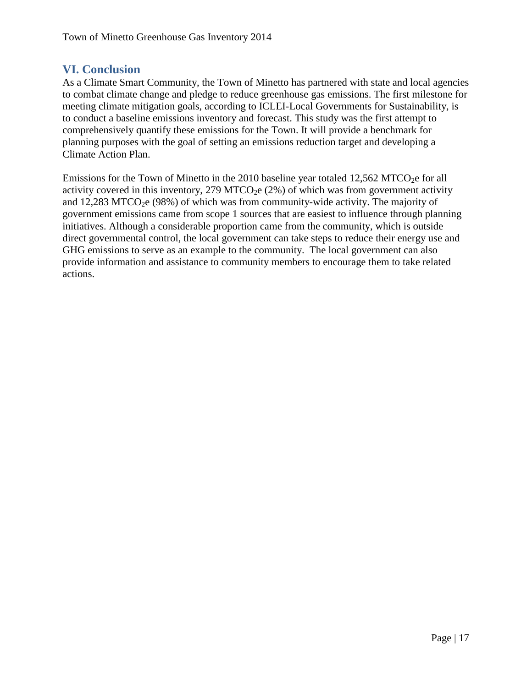#### <span id="page-17-0"></span>**VI. Conclusion**

As a Climate Smart Community, the Town of Minetto has partnered with state and local agencies to combat climate change and pledge to reduce greenhouse gas emissions. The first milestone for meeting climate mitigation goals, according to ICLEI-Local Governments for Sustainability, is to conduct a baseline emissions inventory and forecast. This study was the first attempt to comprehensively quantify these emissions for the Town. It will provide a benchmark for planning purposes with the goal of setting an emissions reduction target and developing a Climate Action Plan.

Emissions for the Town of Minetto in the 2010 baseline year totaled  $12,562$  MTCO<sub>2</sub>e for all activity covered in this inventory, 279 MTCO<sub>2</sub>e (2%) of which was from government activity and 12,283 MTCO<sub>2</sub>e (98%) of which was from community-wide activity. The majority of government emissions came from scope 1 sources that are easiest to influence through planning initiatives. Although a considerable proportion came from the community, which is outside direct governmental control, the local government can take steps to reduce their energy use and GHG emissions to serve as an example to the community. The local government can also provide information and assistance to community members to encourage them to take related actions.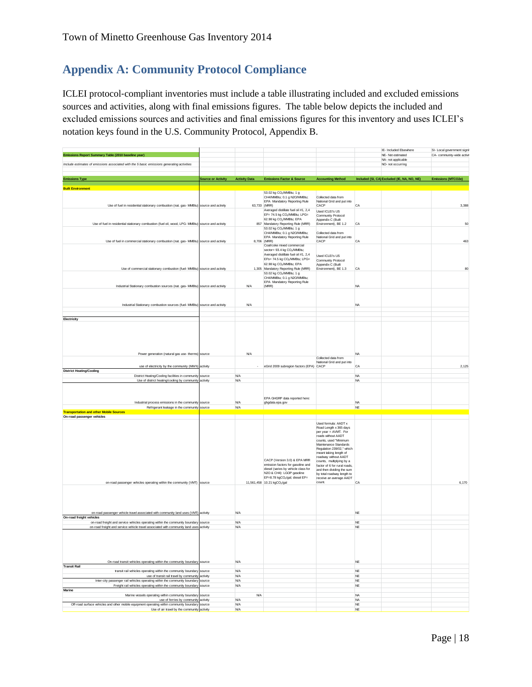## <span id="page-18-0"></span>**Appendix A: Community Protocol Compliance**

ICLEI protocol‐compliant inventories must include a table illustrating included and excluded emissions sources and activities, along with final emissions figures. The table below depicts the included and excluded emissions sources and activities and final emissions figures for this inventory and uses ICLEI's notation keys found in the U.S. Community Protocol, Appendix B.

|                                                                                                                                         |                           |                          |                                                                                                                                                                                                                                |                                                                                                                                                                                                                                                                                                                                                                                           |                        | IE- Included Elsewhere<br>NE- Not estimated | SI- Local government signit |
|-----------------------------------------------------------------------------------------------------------------------------------------|---------------------------|--------------------------|--------------------------------------------------------------------------------------------------------------------------------------------------------------------------------------------------------------------------------|-------------------------------------------------------------------------------------------------------------------------------------------------------------------------------------------------------------------------------------------------------------------------------------------------------------------------------------------------------------------------------------------|------------------------|---------------------------------------------|-----------------------------|
| Emissions Report Summary Table (2010 baseline year)                                                                                     |                           |                          |                                                                                                                                                                                                                                |                                                                                                                                                                                                                                                                                                                                                                                           |                        | NA- not applicable                          | CA- community-wide activit  |
| Include estimates of emissions associated with the 5 basic emissions generating activities                                              |                           |                          |                                                                                                                                                                                                                                |                                                                                                                                                                                                                                                                                                                                                                                           |                        | NO- not occurring                           |                             |
| <b>Emissions Type</b>                                                                                                                   | <b>Source or Activity</b> | <b>Activity Data</b>     | <b>Emissions Factor &amp; Source</b>                                                                                                                                                                                           | <b>Accounting Method</b>                                                                                                                                                                                                                                                                                                                                                                  |                        | Included (SI, CA) Excluded (IE, NA, NO, NE) | Emissions (MTCO2e)          |
| <b>Built Environment</b>                                                                                                                |                           |                          |                                                                                                                                                                                                                                |                                                                                                                                                                                                                                                                                                                                                                                           |                        |                                             |                             |
|                                                                                                                                         |                           |                          | 53.02 kg CO <sub>2</sub> /MMBtu; 1 g<br>CH4/MMBtu; 0.1 g N2O/MMBtu;<br>EPA Mandatory Reporting Rule<br>63,733 (MRR)                                                                                                            | Collected data from<br>National Grid and put into<br>CACP                                                                                                                                                                                                                                                                                                                                 | CA                     |                                             | 3,388                       |
| Use of fuel in residential stationary combustion (nat. gas- MMBtu) source and activity                                                  |                           |                          | Averaged distillate fuel oil #1, 2,4<br>EF= 74.5 kg CO <sub>2</sub> /MMBtu; LPG=                                                                                                                                               | Used ICLEI's US<br>Community Protocol                                                                                                                                                                                                                                                                                                                                                     |                        |                                             |                             |
| Use of fuel in residential stationary combustion (fuel oil, wood, LPG- MMBtu) source and activity                                       |                           |                          | 62.98 kg CO2/MMBtu; EPA<br>857 Mandatory Reporting Rule (MRR)<br>53.02 kg CO <sub>2</sub> /MMBtu; 1 g                                                                                                                          | Appendix C (Built<br>Environment), BE 1.2                                                                                                                                                                                                                                                                                                                                                 | CA                     |                                             | 50                          |
| Use of fuel in commercial stationary combustion (nat. gas- MMBtu) source and activity                                                   |                           |                          | CH4/MMBtu; 0.1 g N2O/MMBtu;<br>EPA Mandatory Reporting Rule<br>8,706 (MRR)<br>Coal/coke mixed commercial                                                                                                                       | Collected data from<br>National Grid and put into<br>CACP                                                                                                                                                                                                                                                                                                                                 | CA                     |                                             | 463                         |
|                                                                                                                                         |                           |                          | sector= 93.4 kg CO2/MMBtu;<br>Averaged distillate fuel oil #1, 2,4<br>EFs= 74.5 kg CO2/MMBtu; LPG=<br>62.98 kg CO <sub>2</sub> /MMBtu; EPA                                                                                     | Used ICLEI's US<br>Community Protocol<br>Appendix C (Built                                                                                                                                                                                                                                                                                                                                |                        |                                             |                             |
| Use of commercial stationary combustion (fuel- MMBtu) source and activity                                                               |                           |                          | 1,305 Mandatory Reporting Rule (MRR)<br>53.02 kg CO2/MMBtu; 1 g<br>CH4/MMBtu; 0.1 g N2O/MMBtu;<br>EPA Mandatory Reporting Rule                                                                                                 | Environment), BE 1.3                                                                                                                                                                                                                                                                                                                                                                      | CA                     |                                             | 80                          |
| Industrial Stationary combustion sources (nat. gas- MMBtu) source and activity                                                          |                           | <b>N/A</b>               | (MRR)                                                                                                                                                                                                                          |                                                                                                                                                                                                                                                                                                                                                                                           | <b>NA</b>              |                                             |                             |
| Industrial Stationary combustion sources (fuel- MMBtu) source and activity                                                              |                           | <b>N/A</b>               |                                                                                                                                                                                                                                |                                                                                                                                                                                                                                                                                                                                                                                           | <b>NA</b>              |                                             |                             |
| Electricity                                                                                                                             |                           |                          |                                                                                                                                                                                                                                |                                                                                                                                                                                                                                                                                                                                                                                           |                        |                                             |                             |
|                                                                                                                                         |                           |                          |                                                                                                                                                                                                                                |                                                                                                                                                                                                                                                                                                                                                                                           |                        |                                             |                             |
| Power generation (natural gas use- therms) source<br>use of electricity by the community (MWh) activity                                 |                           | <b>N/A</b>               | eGrid 2009 subregion factors (EPA) CACP                                                                                                                                                                                        | Collected data from<br>National Grid and put into                                                                                                                                                                                                                                                                                                                                         | <b>NA</b><br>CA        |                                             | 2,125                       |
| <b>District Heating/Cooling</b>                                                                                                         |                           |                          |                                                                                                                                                                                                                                |                                                                                                                                                                                                                                                                                                                                                                                           |                        |                                             |                             |
| District Heating/Cooling facilities in community source<br>Use of district heating/cooling by community activity                        |                           | <b>N/A</b><br><b>N/A</b> |                                                                                                                                                                                                                                |                                                                                                                                                                                                                                                                                                                                                                                           | <b>NA</b><br><b>NA</b> |                                             |                             |
| Industrial process emissions in the community source                                                                                    |                           | N/A                      | EPA GHGRP data reported here:<br>ghgdata.epa.gov                                                                                                                                                                               |                                                                                                                                                                                                                                                                                                                                                                                           | <b>NA</b>              |                                             |                             |
| Refrigerant leakage in the community source                                                                                             |                           | <b>N/A</b>               |                                                                                                                                                                                                                                |                                                                                                                                                                                                                                                                                                                                                                                           | $N\mathsf{E}$          |                                             |                             |
| <b>Transportation and other Mobile Sources</b>                                                                                          |                           |                          |                                                                                                                                                                                                                                |                                                                                                                                                                                                                                                                                                                                                                                           |                        |                                             |                             |
| On-road passenger vehicles<br>on-road passenger vehicles operating within the community (VMT) source                                    |                           |                          | CACP (Version 3.0) & EPA MRR<br>emission factors for gasoline and<br>diesel (varies by vehicle class for<br>N2O & CH4): LGOP gasoline<br>EF=8.78 kgCO <sub>2</sub> /gal; diesel EF=<br>11,561,458 10.21 kgCO <sub>2</sub> /gal | Used formula: AADT x<br>Road Length x 365 days<br>per year = AVMT. For<br>roads without AADT<br>counts, used "Minimum<br>Maintenance Standards<br>Regulation 239/02," which<br>meant taking length of<br>roadway without AADT<br>counts, multiplying by a<br>factor of 6 for rural roads,<br>and then dividing the sum<br>by total roadway length to<br>receive an average AADT<br>count. | CA                     |                                             | 6,170                       |
|                                                                                                                                         |                           |                          |                                                                                                                                                                                                                                |                                                                                                                                                                                                                                                                                                                                                                                           |                        |                                             |                             |
| on-road passenger vehicle travel associated with community land uses (VMT) activity<br>On-road freight vehicles                         |                           | <b>N/A</b>               |                                                                                                                                                                                                                                |                                                                                                                                                                                                                                                                                                                                                                                           | $_{\rm NE}$            |                                             |                             |
| on-road freight and service vehicles operating within the community boundary source                                                     |                           | <b>N/A</b>               |                                                                                                                                                                                                                                |                                                                                                                                                                                                                                                                                                                                                                                           | <b>NE</b>              |                                             |                             |
| on-road freight and service vehicle travel associated with community land uses activity                                                 |                           | <b>N/A</b>               |                                                                                                                                                                                                                                |                                                                                                                                                                                                                                                                                                                                                                                           | $_{\rm NE}$            |                                             |                             |
| On-road transit vehicles operating within the community boundary source<br><b>Transit Rail</b>                                          |                           | <b>N/A</b>               |                                                                                                                                                                                                                                |                                                                                                                                                                                                                                                                                                                                                                                           | <b>NF</b>              |                                             |                             |
| transit rail vehicles operating within the community boundary source                                                                    |                           | <b>N/A</b><br><b>N/A</b> |                                                                                                                                                                                                                                |                                                                                                                                                                                                                                                                                                                                                                                           | <b>NE</b><br>NF        |                                             |                             |
| use of transit rail travel by community activity<br>Inter-city passenger rail vehicles operating within the community boundary source   |                           | <b>N/A</b>               |                                                                                                                                                                                                                                |                                                                                                                                                                                                                                                                                                                                                                                           | $_{\rm NE}$            |                                             |                             |
| Freight rail vehicles operating within the community boundary source<br>Marine                                                          |                           | <b>N/A</b>               |                                                                                                                                                                                                                                |                                                                                                                                                                                                                                                                                                                                                                                           | <b>NE</b>              |                                             |                             |
| Marine vessels operating within community boundary source                                                                               |                           | <b>N/A</b>               |                                                                                                                                                                                                                                |                                                                                                                                                                                                                                                                                                                                                                                           | <b>NA</b>              |                                             |                             |
| use of ferries by community activity<br>Off-road surface vehicles and other mobile equipment operating within community boundary source |                           | <b>N/A</b><br><b>N/A</b> |                                                                                                                                                                                                                                |                                                                                                                                                                                                                                                                                                                                                                                           | <b>NA</b><br>NF        |                                             |                             |
| Use of air travel by the community activity                                                                                             |                           | N/A                      |                                                                                                                                                                                                                                |                                                                                                                                                                                                                                                                                                                                                                                           | <b>NE</b>              |                                             |                             |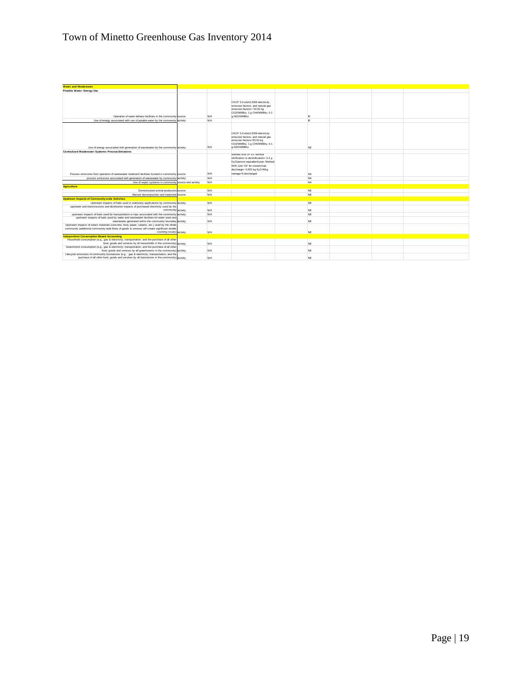## Town of Minetto Greenhouse Gas Inventory 2014

| <b>Water and Wastewater</b>                                                                                                                                                                                                 |            |                                                                                                                                                                                                             |           |  |  |
|-----------------------------------------------------------------------------------------------------------------------------------------------------------------------------------------------------------------------------|------------|-------------------------------------------------------------------------------------------------------------------------------------------------------------------------------------------------------------|-----------|--|--|
| Potable Water- Energy Use                                                                                                                                                                                                   |            |                                                                                                                                                                                                             |           |  |  |
| Operation of water delivery facilities in the community source                                                                                                                                                              | <b>N/A</b> | CACP 3.0 eGrid 2009 electricity<br>emission factors: and natural gas<br>emission factors= 53.02 kg<br>CO2/MMBtu; 1 g CH4/MMBtu; 0.1<br>g N2O/MMBtu                                                          | ΙE        |  |  |
| Use of energy associated with use of potable water by the community activity                                                                                                                                                | <b>N/A</b> |                                                                                                                                                                                                             | IF.       |  |  |
| Use of energy associated with generation of wastewater by the community activity                                                                                                                                            | <b>N/A</b> | CACP 3.0 eGrid 2009 electricity<br>emission factors; and natural gas<br>emission factors=53.02 kg<br>CO2/MMBtu; 1 g CH4/MMBtu; 0.1<br>g N2O/MMBtu                                                           | <b>NE</b> |  |  |
| Centralized Wastewater Systems- Process Emissions                                                                                                                                                                           |            |                                                                                                                                                                                                             |           |  |  |
| Process emissions from operation of wastewater treatment facilities located in community source                                                                                                                             | <b>N/A</b> | Method WW.8= EF without<br>nitrification or denitrification= 3.2 o<br>N <sub>2</sub> O/person equivalent/year; Method<br>WW.12a= EF for stream/river<br>discharge= 0.005 kg N2O-N/kg<br>sewage-N discharged | <b>NA</b> |  |  |
| process emissions associated with generation of wastewater by community activity                                                                                                                                            | <b>N/A</b> |                                                                                                                                                                                                             | <b>NA</b> |  |  |
| Use of septic systems in community source and activity                                                                                                                                                                      | <b>N/A</b> |                                                                                                                                                                                                             | <b>NA</b> |  |  |
| <b>Agriculture</b>                                                                                                                                                                                                          |            |                                                                                                                                                                                                             |           |  |  |
| Domesticated animal production source                                                                                                                                                                                       | <b>N/A</b> |                                                                                                                                                                                                             | NE        |  |  |
| Manure decomposition and treatment source                                                                                                                                                                                   | <b>N/A</b> |                                                                                                                                                                                                             | <b>NF</b> |  |  |
| <b>Upstream Impacts of Community-wide Activities</b>                                                                                                                                                                        |            |                                                                                                                                                                                                             |           |  |  |
| Upstream impacts of fuels used in stationary applications by community activity                                                                                                                                             | <b>N/A</b> |                                                                                                                                                                                                             | NE        |  |  |
| upstream and transmissions and distribution impacts of purchased electricity used by the<br>community activity                                                                                                              | <b>N/A</b> |                                                                                                                                                                                                             | NE        |  |  |
| upstream impacts of fuels used for transportation in trips associated with the community activity                                                                                                                           | <b>N/A</b> |                                                                                                                                                                                                             | <b>NE</b> |  |  |
| upstream impacts of fuels used by water and wastewater facilities for water used and<br>wastewater generated within the community boundary activity                                                                         | N/A        |                                                                                                                                                                                                             | <b>NE</b> |  |  |
| Upstream impacts of select materials (concrete, food, paper, carpets, etc.) used by the whole<br>community (additional community-wide flows of goods & services will create significant double<br>counting issues) activity | <b>N/A</b> |                                                                                                                                                                                                             | <b>NE</b> |  |  |
| <b>Independent Consumption-Based Accounting</b>                                                                                                                                                                             |            |                                                                                                                                                                                                             |           |  |  |
| Household consumption (e.g., gas & electricity, transportation, and the purchase of all other<br>food, goods and services by all households in the community) activity                                                      | <b>N/A</b> |                                                                                                                                                                                                             | <b>NE</b> |  |  |
| Government consumption (e.g., gas & electricity, transportation, and the purchase of all other<br>food, goods and services by all governments in the community) activity                                                    | <b>N/A</b> |                                                                                                                                                                                                             | <b>NE</b> |  |  |
| Lifecycle emissions of community businesses (e.g., gas & electricity, transportation, and the<br>purchase of all other food, goods and services by all businesses in the community) activity                                | <b>N/A</b> |                                                                                                                                                                                                             | <b>NE</b> |  |  |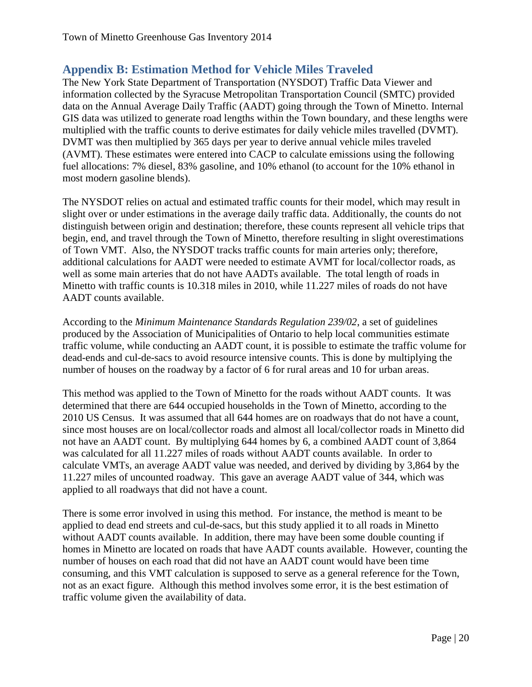## <span id="page-20-0"></span>**Appendix B: Estimation Method for Vehicle Miles Traveled**

The New York State Department of Transportation (NYSDOT) Traffic Data Viewer and information collected by the Syracuse Metropolitan Transportation Council (SMTC) provided data on the Annual Average Daily Traffic (AADT) going through the Town of Minetto. Internal GIS data was utilized to generate road lengths within the Town boundary, and these lengths were multiplied with the traffic counts to derive estimates for daily vehicle miles travelled (DVMT). DVMT was then multiplied by 365 days per year to derive annual vehicle miles traveled (AVMT). These estimates were entered into CACP to calculate emissions using the following fuel allocations: 7% diesel, 83% gasoline, and 10% ethanol (to account for the 10% ethanol in most modern gasoline blends).

The NYSDOT relies on actual and estimated traffic counts for their model, which may result in slight over or under estimations in the average daily traffic data. Additionally, the counts do not distinguish between origin and destination; therefore, these counts represent all vehicle trips that begin, end, and travel through the Town of Minetto, therefore resulting in slight overestimations of Town VMT. Also, the NYSDOT tracks traffic counts for main arteries only; therefore, additional calculations for AADT were needed to estimate AVMT for local/collector roads, as well as some main arteries that do not have AADTs available. The total length of roads in Minetto with traffic counts is 10.318 miles in 2010, while 11.227 miles of roads do not have AADT counts available.

According to the *Minimum Maintenance Standards Regulation 239/02*, a set of guidelines produced by the Association of Municipalities of Ontario to help local communities estimate traffic volume, while conducting an AADT count, it is possible to estimate the traffic volume for dead-ends and cul-de-sacs to avoid resource intensive counts. This is done by multiplying the number of houses on the roadway by a factor of 6 for rural areas and 10 for urban areas.

This method was applied to the Town of Minetto for the roads without AADT counts. It was determined that there are 644 occupied households in the Town of Minetto, according to the 2010 US Census. It was assumed that all 644 homes are on roadways that do not have a count, since most houses are on local/collector roads and almost all local/collector roads in Minetto did not have an AADT count. By multiplying 644 homes by 6, a combined AADT count of 3,864 was calculated for all 11.227 miles of roads without AADT counts available. In order to calculate VMTs, an average AADT value was needed, and derived by dividing by 3,864 by the 11.227 miles of uncounted roadway. This gave an average AADT value of 344, which was applied to all roadways that did not have a count.

There is some error involved in using this method. For instance, the method is meant to be applied to dead end streets and cul-de-sacs, but this study applied it to all roads in Minetto without AADT counts available. In addition, there may have been some double counting if homes in Minetto are located on roads that have AADT counts available. However, counting the number of houses on each road that did not have an AADT count would have been time consuming, and this VMT calculation is supposed to serve as a general reference for the Town, not as an exact figure. Although this method involves some error, it is the best estimation of traffic volume given the availability of data.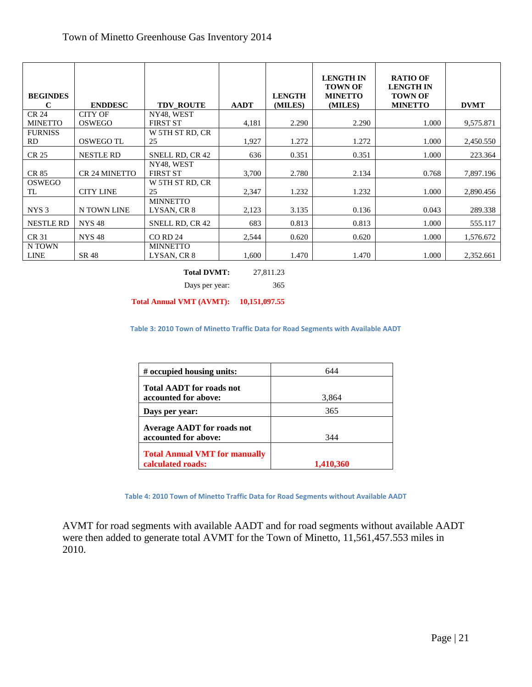| <b>BEGINDES</b><br>C        | <b>ENDDESC</b>       | <b>TDV ROUTE</b>               | <b>AADT</b> | <b>LENGTH</b><br>(MILES) | <b>LENGTH IN</b><br><b>TOWN OF</b><br><b>MINETTO</b><br>(MILES) | <b>RATIO OF</b><br><b>LENGTH IN</b><br><b>TOWN OF</b><br><b>MINETTO</b> | <b>DVMT</b> |
|-----------------------------|----------------------|--------------------------------|-------------|--------------------------|-----------------------------------------------------------------|-------------------------------------------------------------------------|-------------|
| <b>CR 24</b>                | <b>CITY OF</b>       | NY48, WEST                     |             |                          |                                                                 |                                                                         |             |
| <b>MINETTO</b>              | <b>OSWEGO</b>        | <b>FIRST ST</b>                | 4,181       | 2.290                    | 2.290                                                           | 1.000                                                                   | 9,575.871   |
| <b>FURNISS</b><br><b>RD</b> | <b>OSWEGO TL</b>     | W 5TH ST RD, CR<br>25          | 1,927       | 1.272                    | 1.272                                                           | 1.000                                                                   | 2,450.550   |
| <b>CR 25</b>                | <b>NESTLE RD</b>     | SNELL RD, CR 42                | 636         | 0.351                    | 0.351                                                           | 1.000                                                                   | 223.364     |
| CR 85                       | <b>CR 24 MINETTO</b> | NY48, WEST<br><b>FIRST ST</b>  | 3,700       | 2.780                    | 2.134                                                           | 0.768                                                                   | 7,897.196   |
| <b>OSWEGO</b><br>TL         | <b>CITY LINE</b>     | W 5TH ST RD, CR<br>25          | 2,347       | 1.232                    | 1.232                                                           | 1.000                                                                   | 2,890.456   |
| NYS <sub>3</sub>            | N TOWN LINE          | <b>MINNETTO</b><br>LYSAN, CR 8 | 2,123       | 3.135                    | 0.136                                                           | 0.043                                                                   | 289.338     |
| <b>NESTLE RD</b>            | <b>NYS48</b>         | SNELL RD, CR 42                | 683         | 0.813                    | 0.813                                                           | 1.000                                                                   | 555.117     |
| CR 31                       | <b>NYS48</b>         | <b>CO RD 24</b>                | 2,544       | 0.620                    | 0.620                                                           | 1.000                                                                   | 1,576.672   |
| N TOWN<br><b>LINE</b>       | SR 48                | <b>MINNETTO</b><br>LYSAN, CR 8 | 1,600       | 1.470                    | 1.470                                                           | 1.000                                                                   | 2,352.661   |

**Total DVMT:** 27,811.23

Days per year: 365

**Total Annual VMT (AVMT): 10,151,097.55**

**Table 3: 2010 Town of Minetto Traffic Data for Road Segments with Available AADT**

| # occupied housing units:                                 | 644          |
|-----------------------------------------------------------|--------------|
| <b>Total AADT for roads not</b>                           |              |
| accounted for above:<br>Days per year:                    | 3,864<br>365 |
| <b>Average AADT</b> for roads not                         |              |
| accounted for above:                                      | 344          |
| <b>Total Annual VMT for manually</b><br>calculated roads: | 1.410.360    |

**Table 4: 2010 Town of Minetto Traffic Data for Road Segments without Available AADT**

AVMT for road segments with available AADT and for road segments without available AADT were then added to generate total AVMT for the Town of Minetto, 11,561,457.553 miles in 2010.